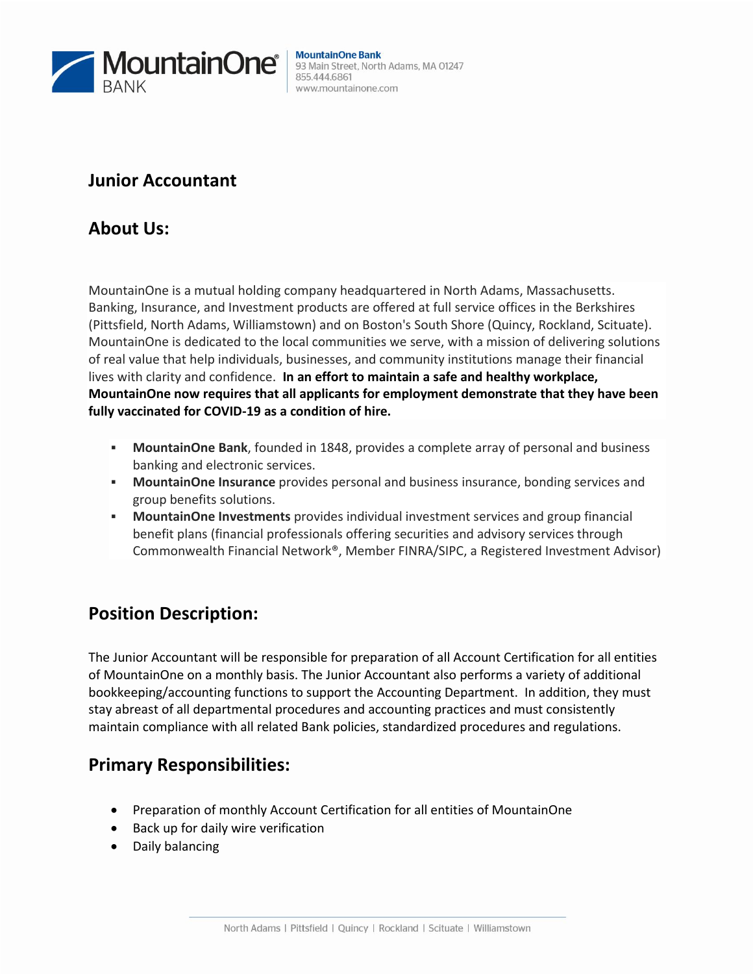

#### **MountainOne Bank** 93 Main Street, North Adams, MA 01247 855.444.6861 www.mountainone.com

#### **Junior Accountant**

### **About Us:**

MountainOne is a mutual holding company headquartered in North Adams, Massachusetts. Banking, Insurance, and Investment products are offered at full service offices in the Berkshires (Pittsfield, North Adams, Williamstown) and on Boston's South Shore (Quincy, Rockland, Scituate). MountainOne is dedicated to the local communities we serve, with a mission of delivering solutions of real value that help individuals, businesses, and community institutions manage their financial lives with clarity and confidence. **In an effort to maintain a safe and healthy workplace, MountainOne now requires that all applicants for employment demonstrate that they have been fully vaccinated for COVID-19 as a condition of hire.**

- **MountainOne Bank**, founded in 1848, provides a complete array of personal and business banking and electronic services.
- **MountainOne Insurance** provides personal and business insurance, bonding services and group benefits solutions.
- **MountainOne Investments** provides individual investment services and group financial benefit plans (financial professionals offering securities and advisory services through Commonwealth Financial Network®, Member FINRA/SIPC, a Registered Investment Advisor)

# **Position Description:**

The Junior Accountant will be responsible for preparation of all Account Certification for all entities of MountainOne on a monthly basis. The Junior Accountant also performs a variety of additional bookkeeping/accounting functions to support the Accounting Department. In addition, they must stay abreast of all departmental procedures and accounting practices and must consistently maintain compliance with all related Bank policies, standardized procedures and regulations.

# **Primary Responsibilities:**

- Preparation of monthly Account Certification for all entities of MountainOne
- Back up for daily wire verification
- Daily balancing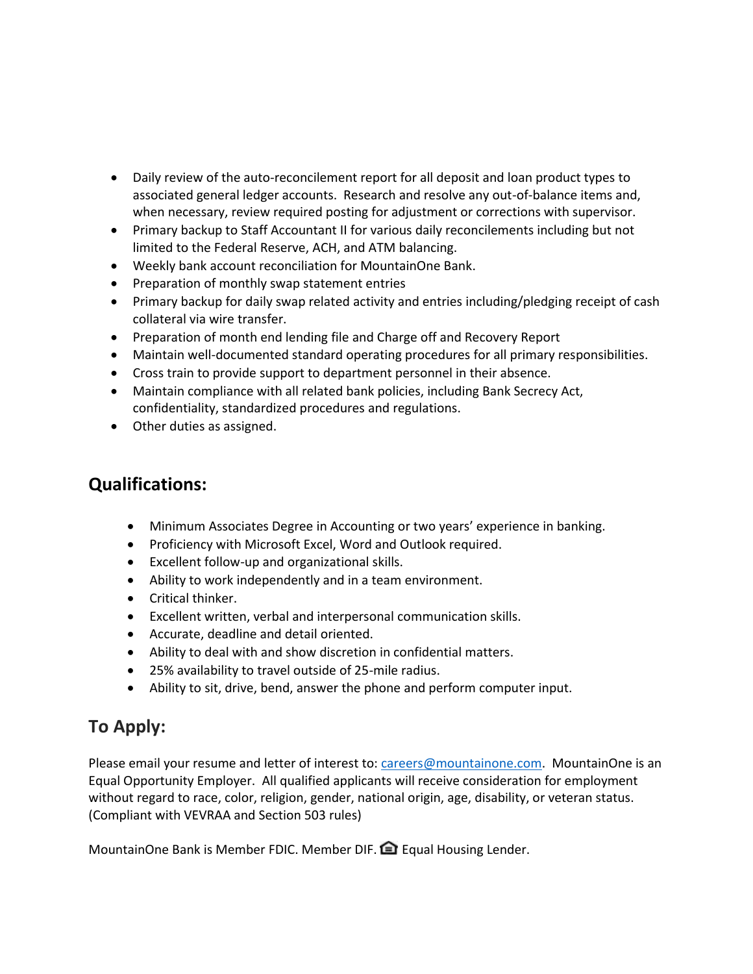- Daily review of the auto-reconcilement report for all deposit and loan product types to associated general ledger accounts. Research and resolve any out-of-balance items and, when necessary, review required posting for adjustment or corrections with supervisor.
- Primary backup to Staff Accountant II for various daily reconcilements including but not limited to the Federal Reserve, ACH, and ATM balancing.
- Weekly bank account reconciliation for MountainOne Bank.
- Preparation of monthly swap statement entries
- Primary backup for daily swap related activity and entries including/pledging receipt of cash collateral via wire transfer.
- Preparation of month end lending file and Charge off and Recovery Report
- Maintain well-documented standard operating procedures for all primary responsibilities.
- Cross train to provide support to department personnel in their absence.
- Maintain compliance with all related bank policies, including Bank Secrecy Act, confidentiality, standardized procedures and regulations.
- Other duties as assigned.

### **Qualifications:**

- Minimum Associates Degree in Accounting or two years' experience in banking.
- Proficiency with Microsoft Excel, Word and Outlook required.
- Excellent follow-up and organizational skills.
- Ability to work independently and in a team environment.
- Critical thinker.
- Excellent written, verbal and interpersonal communication skills.
- Accurate, deadline and detail oriented.
- Ability to deal with and show discretion in confidential matters.
- 25% availability to travel outside of 25-mile radius.
- Ability to sit, drive, bend, answer the phone and perform computer input.

# **To Apply:**

Please email your resume and letter of interest to: [careers@mountainone.com.](mailto:careers@mountainone.com) MountainOne is an Equal Opportunity Employer. All qualified applicants will receive consideration for employment without regard to race, color, religion, gender, national origin, age, disability, or veteran status. (Compliant with VEVRAA and Section 503 rules)

MountainOne Bank is Member FDIC. Member DIF. **Example Housing Lender.**